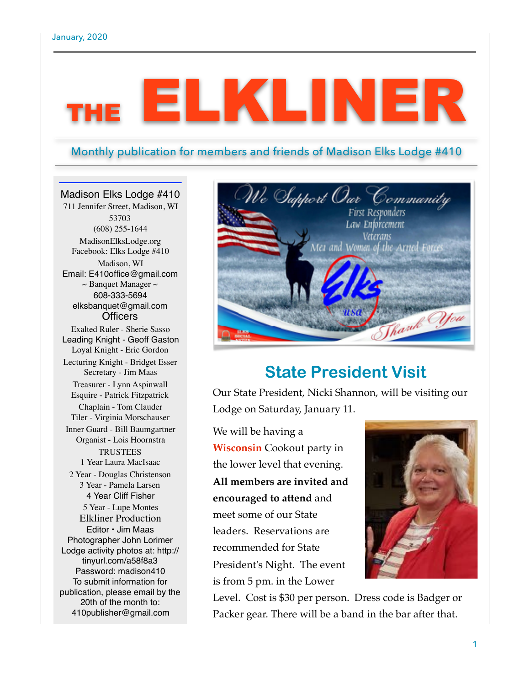# ELKLINER

#### Monthly publication for members and friends of Madison Elks Lodge #410

#### Madison Elks Lodge #410

711 Jennifer Street, Madison, WI 53703 (608) 255-1644 MadisonElksLodge.org Facebook: Elks Lodge #410 Madison, WI Email: E410office@gmail.com  $\sim$ Banquet Manager $\sim$ 608-333-5694 elksbanquet@gmail.com **Officers** Exalted Ruler - Sherie Sasso Leading Knight - Geoff Gaston Loyal Knight - Eric Gordon Lecturing Knight - Bridget Esser Secretary - Jim Maas Treasurer - Lynn Aspinwall Esquire - Patrick Fitzpatrick Chaplain - Tom Clauder Tiler - Virginia Morschauser Inner Guard - Bill Baumgartner Organist - Lois Hoornstra **TRUSTEES** 1 Year Laura MacIsaac 2 Year - Douglas Christenson 3 Year - Pamela Larsen 4 Year Cliff Fisher 5 Year - Lupe Montes Elkliner Production Editor • Jim Maas Photographer John Lorimer Lodge activity photos at: http:// tinyurl.com/a58f8a3 Password: madison410 To submit information for publication, please email by the 20th of the month to: 410publisher@gmail.com



## **State President Visit**

Our State President, Nicki Shannon, will be visiting our Lodge on Saturday, January 11.

We will be having a **Wisconsin** Cookout party in the lower level that evening. **All members are invited and encouraged to attend** and meet some of our State leaders. Reservations are recommended for State President's Night. The event is from 5 pm. in the Lower



Level. Cost is \$30 per person. Dress code is Badger or Packer gear. There will be a band in the bar after that.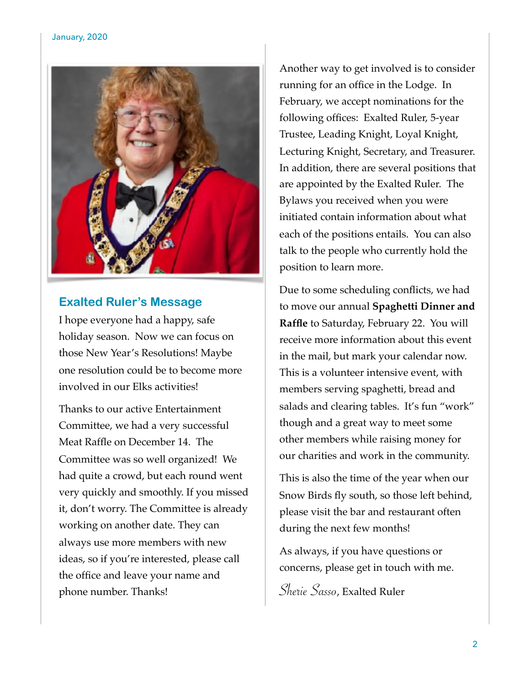

#### **Exalted Ruler's Message**

I hope everyone had a happy, safe holiday season. Now we can focus on those New Year's Resolutions! Maybe one resolution could be to become more involved in our Elks activities!

Thanks to our active Entertainment Committee, we had a very successful Meat Raffle on December 14. The Committee was so well organized! We had quite a crowd, but each round went very quickly and smoothly. If you missed it, don't worry. The Committee is already working on another date. They can always use more members with new ideas, so if you're interested, please call the office and leave your name and phone number. Thanks!

Another way to get involved is to consider running for an office in the Lodge. In February, we accept nominations for the following offices: Exalted Ruler, 5-year Trustee, Leading Knight, Loyal Knight, Lecturing Knight, Secretary, and Treasurer. In addition, there are several positions that are appointed by the Exalted Ruler. The Bylaws you received when you were initiated contain information about what each of the positions entails. You can also talk to the people who currently hold the position to learn more.

Due to some scheduling conflicts, we had to move our annual **Spaghetti Dinner and Raffle** to Saturday, February 22. You will receive more information about this event in the mail, but mark your calendar now. This is a volunteer intensive event, with members serving spaghetti, bread and salads and clearing tables. It's fun "work" though and a great way to meet some other members while raising money for our charities and work in the community.

This is also the time of the year when our Snow Birds fly south, so those left behind, please visit the bar and restaurant often during the next few months!

As always, if you have questions or concerns, please get in touch with me.

Sherie Sasso, Exalted Ruler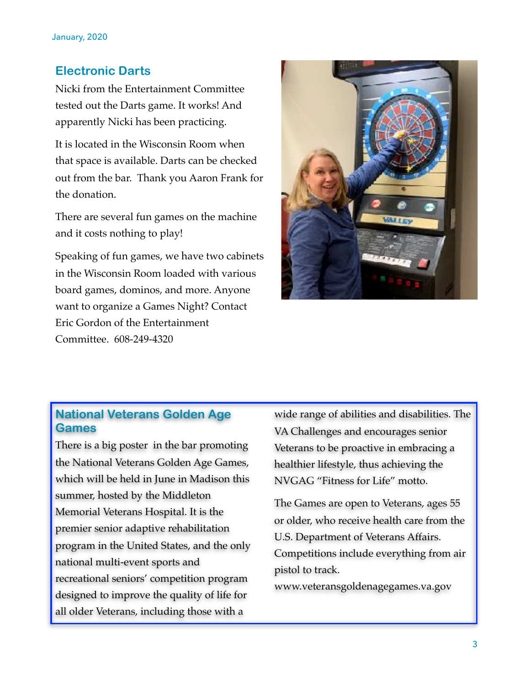#### **Electronic Darts**

Nicki from the Entertainment Committee tested out the Darts game. It works! And apparently Nicki has been practicing.

It is located in the Wisconsin Room when that space is available. Darts can be checked out from the bar. Thank you Aaron Frank for the donation.

There are several fun games on the machine and it costs nothing to play!

Speaking of fun games, we have two cabinets in the Wisconsin Room loaded with various board games, dominos, and more. Anyone want to organize a Games Night? Contact Eric Gordon of the Entertainment Committee. 608-249-4320



#### **National Veterans Golden Age Games**

There is a big poster in the bar promoting the National Veterans Golden Age Games, which will be held in June in Madison this summer, hosted by the Middleton Memorial Veterans Hospital. It is the premier senior adaptive rehabilitation program in the United States, and the only national multi-event sports and recreational seniors' competition program designed to improve the quality of life for all older Veterans, including those with a

wide range of abilities and disabilities. The VA Challenges and encourages senior Veterans to be proactive in embracing a healthier lifestyle, thus achieving the NVGAG "Fitness for Life" motto.

The Games are open to Veterans, ages 55 or older, who receive health care from the U.S. Department of Veterans Affairs. Competitions include everything from air pistol to track.

www.veteransgoldenagegames.va.gov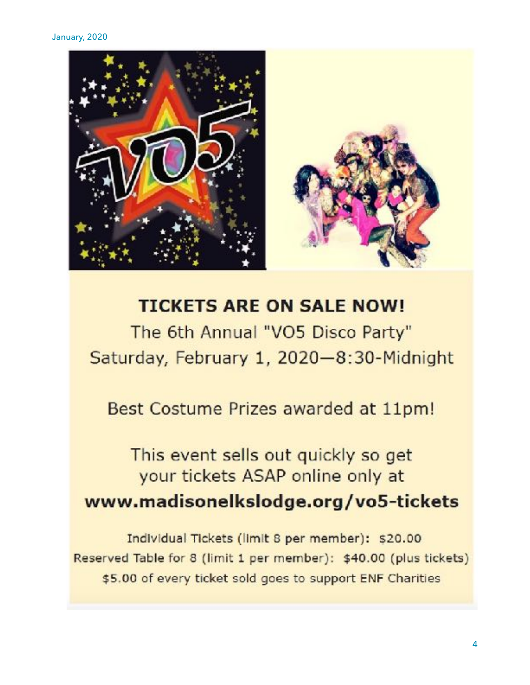

# **TICKETS ARE ON SALE NOW!**

The 6th Annual "VO5 Disco Party" Saturday, February 1, 2020-8:30-Midnight

Best Costume Prizes awarded at 11pm!

## This event sells out quickly so get your tickets ASAP online only at www.madisonelkslodge.org/vo5-tickets

Individual Tickets (limit 8 per member): \$20.00 Reserved Table for 8 (limit 1 per member): \$40.00 (plus tickets) \$5.00 of every ticket sold goes to support ENF Charities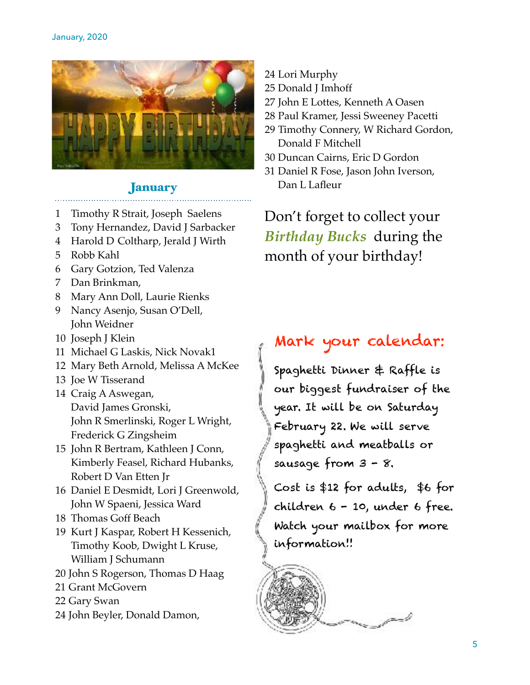

#### January

- 1 Timothy R Strait, Joseph Saelens
- 3 Tony Hernandez, David J Sarbacker
- 4 Harold D Coltharp, Jerald J Wirth
- 5 Robb Kahl
- 6 Gary Gotzion, Ted Valenza
- 7 Dan Brinkman,
- 8 Mary Ann Doll, Laurie Rienks
- 9 Nancy Asenjo, Susan O'Dell, John Weidner
- 10 Joseph J Klein
- 11 Michael G Laskis, Nick Novak1
- 12 Mary Beth Arnold, Melissa A McKee
- 13 Joe W Tisserand
- 14 Craig A Aswegan, David James Gronski, John R Smerlinski, Roger L Wright, Frederick G Zingsheim
- 15 John R Bertram, Kathleen J Conn, Kimberly Feasel, Richard Hubanks, Robert D Van Etten Jr
- 16 Daniel E Desmidt, Lori J Greenwold, John W Spaeni, Jessica Ward
- 18 Thomas Goff Beach
- 19 Kurt J Kaspar, Robert H Kessenich, Timothy Koob, Dwight L Kruse, William J Schumann
- 20 John S Rogerson, Thomas D Haag
- 21 Grant McGovern
- 22 Gary Swan
- 24 John Beyler, Donald Damon,
- 24 Lori Murphy
- 25 Donald J Imhoff
- 27 John E Lottes, Kenneth A Oasen
- 28 Paul Kramer, Jessi Sweeney Pacetti
- 29 Timothy Connery, W Richard Gordon, Donald F Mitchell
- 30 Duncan Cairns, Eric D Gordon
- 31 Daniel R Fose, Jason John Iverson, Dan L Lafleur

Don't forget to collect your *Birthday Bucks* during the month of your birthday!

### Mark your calendar:

Spaghetti Dinner & Raffle is our biggest fundraiser of the year. It will be on Saturday February 22. We will serve spaghetti and meatballs or sausage from 3 - 8.

Cost is \$12 for adults, \$6 for children 6 - 10, under 6 free. Watch your mailbox for more information!!

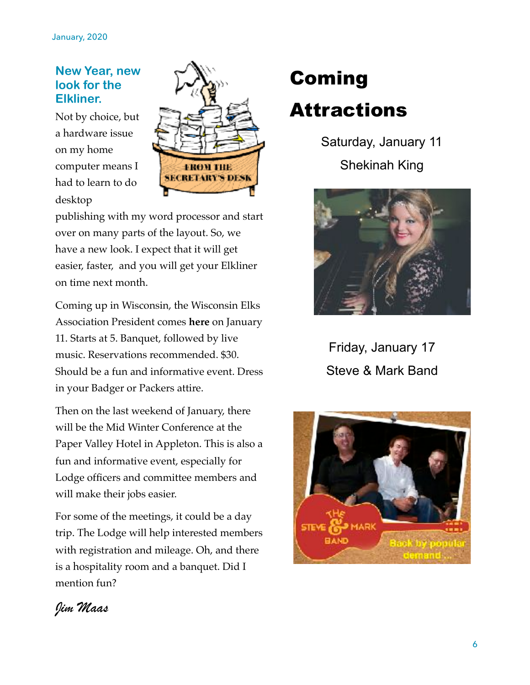#### **New Year, new**  look for the **Elkliner.**

Not by choice, but a hardware issue on my home computer means I had to learn to do desktop



publishing with my word processor and start over on many parts of the layout. So, we have a new look. I expect that it will get easier, faster, and you will get your Elkliner on time next month.

Coming up in Wisconsin, the Wisconsin Elks Association President comes **here** on January 11. Starts at 5. Banquet, followed by live music. Reservations recommended. \$30. Should be a fun and informative event. Dress in your Badger or Packers attire.

Then on the last weekend of January, there will be the Mid Winter Conference at the Paper Valley Hotel in Appleton. This is also a fun and informative event, especially for Lodge officers and committee members and will make their jobs easier.

For some of the meetings, it could be a day trip. The Lodge will help interested members with registration and mileage. Oh, and there is a hospitality room and a banquet. Did I mention fun?

# Coming Attractions

Saturday, January 11 Shekinah King



Friday, January 17 Steve & Mark Band



### *Jim Maas*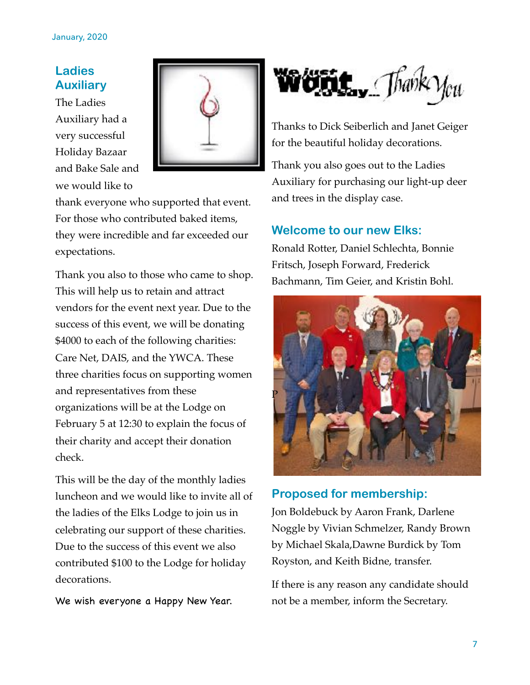#### **Ladies Auxiliary**

The Ladies Auxiliary had a very successful Holiday Bazaar and Bake Sale and we would like to



thank everyone who supported that event. For those who contributed baked items, they were incredible and far exceeded our expectations.

Thank you also to those who came to shop. This will help us to retain and attract vendors for the event next year. Due to the success of this event, we will be donating \$4000 to each of the following charities: Care Net, DAIS, and the YWCA. These three charities focus on supporting women and representatives from these organizations will be at the Lodge on February 5 at 12:30 to explain the focus of their charity and accept their donation check.

This will be the day of the monthly ladies luncheon and we would like to invite all of the ladies of the Elks Lodge to join us in celebrating our support of these charities. Due to the success of this event we also contributed \$100 to the Lodge for holiday decorations.

We wish everyone a Happy New Year.



Thanks to Dick Seiberlich and Janet Geiger for the beautiful holiday decorations.

Thank you also goes out to the Ladies Auxiliary for purchasing our light-up deer and trees in the display case.

#### **Welcome to our new Elks:**

Ronald Rotter, Daniel Schlechta, Bonnie Fritsch, Joseph Forward, Frederick Bachmann, Tim Geier, and Kristin Bohl.



#### **Proposed for membership:**

Jon Boldebuck by Aaron Frank, Darlene Noggle by Vivian Schmelzer, Randy Brown by Michael Skala,Dawne Burdick by Tom Royston, and Keith Bidne, transfer.

If there is any reason any candidate should not be a member, inform the Secretary.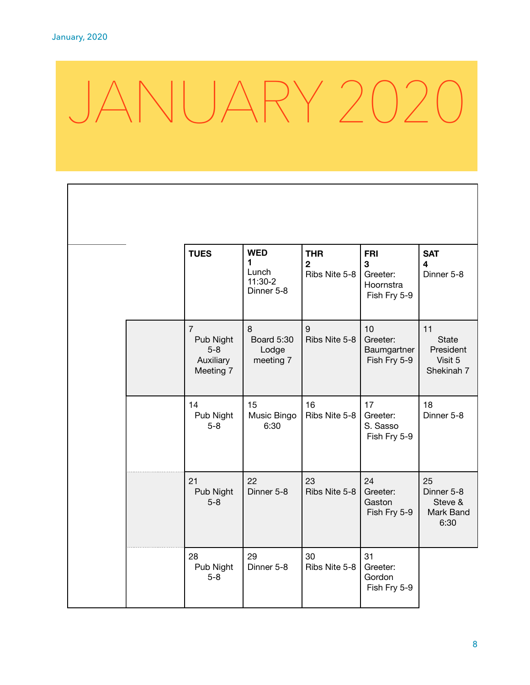$\Gamma$ 

# JANUARY 2020

|  | <b>TUES</b>                                                    | <b>WED</b><br>1<br>Lunch<br>$11:30-2$<br>Dinner 5-8 | <b>THR</b><br>$\overline{2}$<br>Ribs Nite 5-8 | <b>FRI</b><br>3<br>Greeter:<br>Hoornstra<br>Fish Fry 5-9 | <b>SAT</b><br>4<br>Dinner 5-8                            |
|--|----------------------------------------------------------------|-----------------------------------------------------|-----------------------------------------------|----------------------------------------------------------|----------------------------------------------------------|
|  | $\overline{7}$<br>Pub Night<br>$5-8$<br>Auxiliary<br>Meeting 7 | 8<br><b>Board 5:30</b><br>Lodge<br>meeting 7        | 9<br>Ribs Nite 5-8                            | 10<br>Greeter:<br>Baumgartner<br>Fish Fry 5-9            | 11<br><b>State</b><br>President<br>Visit 5<br>Shekinah 7 |
|  | 14<br>Pub Night<br>$5-8$                                       | 15<br>Music Bingo<br>6:30                           | 16<br>Ribs Nite 5-8                           | 17<br>Greeter:<br>S. Sasso<br>Fish Fry 5-9               | 18<br>Dinner 5-8                                         |
|  | 21<br>Pub Night<br>$5-8$                                       | 22<br>Dinner 5-8                                    | 23<br>Ribs Nite 5-8                           | 24<br>Greeter:<br>Gaston<br>Fish Fry 5-9                 | 25<br>Dinner 5-8<br>Steve &<br>Mark Band<br>6:30         |
|  | 28<br>Pub Night<br>$5-8$                                       | 29<br>Dinner 5-8                                    | 30<br>Ribs Nite 5-8                           | 31<br>Greeter:<br>Gordon<br>Fish Fry 5-9                 |                                                          |

٦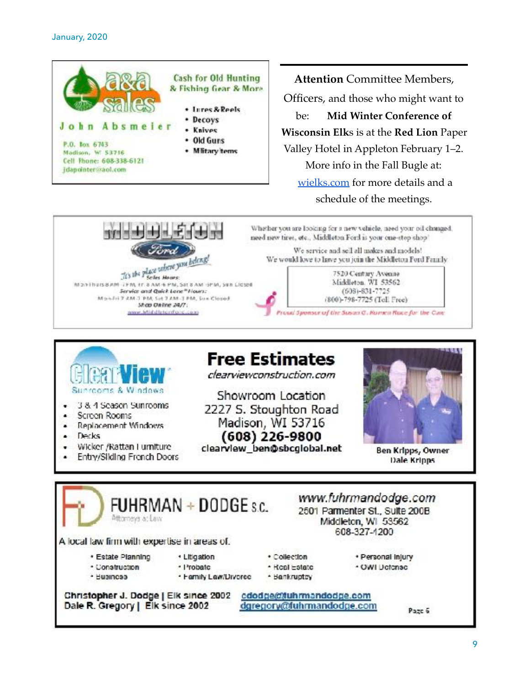

 $+ + + + + + + + + +$ 

This the place subtre you belong!

Monifiuis 8 AM (FM, IT 8 AM + PM, Sat 8 AM - 9PM, Sun Licsed Service and Quick Lone" Hours:

Mon-Fill 7 AM 3 PM, Set 7 AM -1 PM, Sun Closed

Shop Deline 24/7: nour idid distantions com

**Attention** Committee Members, Officers, and those who might want to be: **Mid Winter Conference of Wisconsin Elk**s is at the **Red Lion** Paper Valley Hotel in Appleton February 1–2. More info in the Fall Bugle at: [wielks.com](http://wielks.com/) for more details and a schedule of the meetings.

Whether you are looking for a new vehicle, need your oil changed, need new tires, etc., Middleton Ford is your one-stop shop'

We service and sell all makes and models! We would love to lawe you join the Middleton Ford Family

> 7520 Century Avenue Middleton. WI 53562

 $(608) - 831 - 7725$ 

(800)-798-7725 (Tol. Free)

Proud Sponsor of the Susan G. Romen Race for the Cure



- 3 & 4 Season Sunrooms
- Screen Rooms  $\bullet$
- Replacement Windows ٠
- Decks
- Wicker /Rattan Furniture
- Entry/Silding French Doors

## **Free Estimates**

clearviewconstruction.com

Showroom Location 2227 S. Stoughton Road Madison, WI 53716  $(608)$  226-9800

clearview\_ben@sbcglobal.net



Ben Kripps, Owner Dale Kripps

| Attorneys at Law                             | FUHRMAN $+$ DODGE s.c. |               | www.fuhrmandodge.com<br>2501 Parmenter St., Suite 200B<br>Middleton, WI 53562<br>608-327-1200 |
|----------------------------------------------|------------------------|---------------|-----------------------------------------------------------------------------------------------|
| A local law firm with expertise in areas of. |                        |               |                                                                                               |
| · Estate Planning                            | · Litigation           | * Collection  | · Personal Injury                                                                             |
|                                              | · Probatc              | · Hoal Estate | · OWI Detense                                                                                 |
| · Construction                               |                        |               |                                                                                               |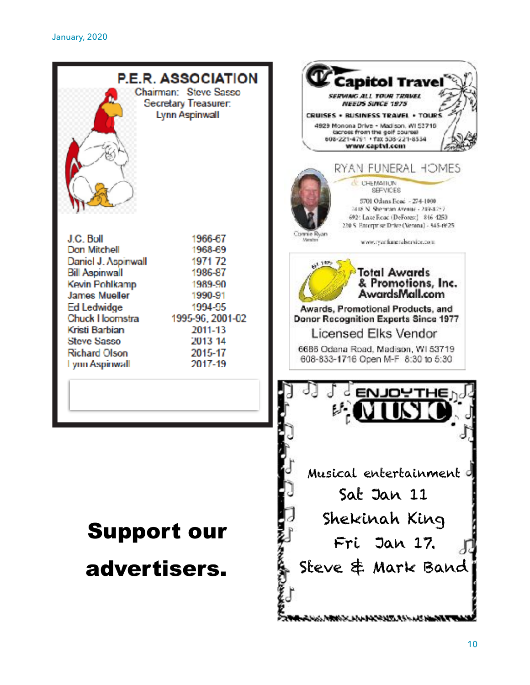